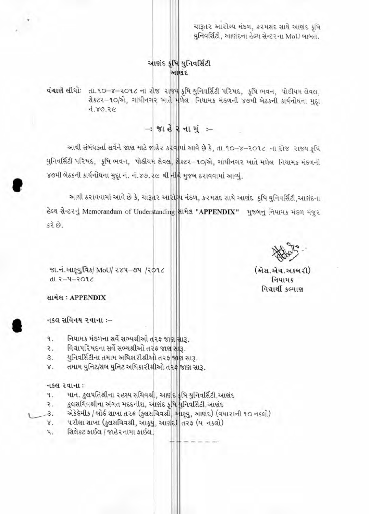ચારૂતર આરોગ્ય મંડળ, કરમસદ સાથે આણંદ કૃષિ યુનિવર્સિટી, આણંદના હેલ્થ સેન્ટરના MoU બાબત.

# આશંદ કૃષિ યુનિવર્સિટી આણંદ

**વંચાણે લીધો**: તા.૧૦-૪-૨૦૧૮ ના રોજ રાજ્ય કૃષિ યુનિવર્સિટી પરિષદ, કૃષિ ભવન, પોડીયમ લેવલ, Aszz-90/2, ગાંધીનગર ખાતે મળેલ નિયામક મંડળની ૪૭મી બેઠકની કાર્યનોધના મુદ્દા  $75.89.76$ 

 $-$  81  $\stackrel{1}{\leq}$  R  $-$  11  $\stackrel{1}{\leq}$   $\stackrel{1}{\leq}$ 

આથી સંબંધકર્તા સર્વેને જાણ માટે જાહેર કરવામાં આવે છે કે, તા.૧૦-૪-૨૦૧૮ ના રોજ રાજય કૃષિ યુનિવર્સિટી પરિષદ, કૃષિ ભવન, પોડીયમ લેવલ, યુકટર-૧૦/એ, ગાંધીનગર ખાતે મળેલ નિયામક મંડળની ४७મી બેઠકની કાર્યનોધના મુદૃા નં. નં.૪૭.૨૯ થી નીરે મુજબ ઠરાવવામાં આવ્યું.

આથી ઠરાવવામાં આવે છે કે, ચારૂતર આરોગ્ય મંડળ, કરમસદ સાથે આણંદ કૃષિ યુનિવર્સિટી,આણંદના હેલ્થ સેન્ટરનું Memorandum of Understanding સામેલ "APPENDIX" મુજબનું નિયામક મંડળ મંજુર  $52.59.$ 

(એસ.એચ.અકબરી) નિયામક વિદ્યાર્થી કલ્યાણ

જા.નં.આકૂયુ/વિક/ MoU/ ૨૪૫–૭૫ /૨૦૧૮  $3.805 - 4 - 3.1h$ 

સામેલ: APPENDIX

- નકલ સવિનય ૨વાના :-
- $\mathcal{A}$ . નિયામક મંડળના સર્વે સભ્યશ્રીઓ તરફ જાણ સારૂ.
- વિદ્યાપરિષદના સર્વે સભ્યશ્રીઓ તરફ જાણ સારૂ. ₹.
- યુનિવર્સિટીના તમામ અધિકારીશ્રીઓ તરફ જાણ સારૂ. З.
- તમામ યુનિટ/સબ યુનિટ અધિકારીશ્રીઓ તરફ જાણ સારૂ. Χ.

## નકલ રવાના:

- માન. કુલપતિશ્રીના ૨હસ્ય સચિવશ્રી, આણંદ¦કૃષિ યુનિવર્સિટી,આણંદ ٩.
- કુલસચિવશ્રીના અંગત મદદનીશ, આણંદ કૃષિ ધુનિવર્સિટી,આણંદ ₹.
- એકેડેમીક / બોર્ડ શાખા ત૨ફ (કુલસચિવશ્રી, આફ્યુ, આણંદ) (વધારાની ૧૦ નકલો)<br>પરીક્ષા શાખા (કુલસચિવશ્રી, આફ્યુ, આણંદ) ત૨ફ (૫ નકલો) 3.
- χ.
- સિલેકટ ફાઈલ / જાહેરનામા ફાઈલ. પ.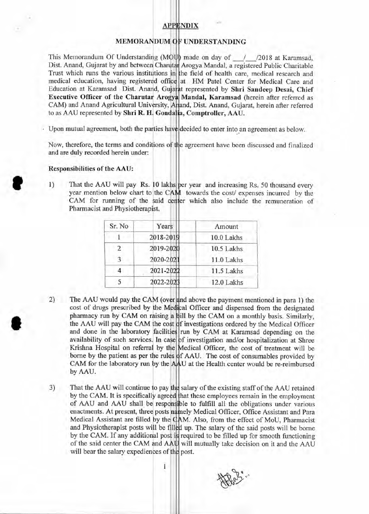## **APPENDIX**

### MEMORANDUM OF UNDERSTANDING

This Memorandum Of Understanding (MOU) made on day of  $\frac{1}{2018}$  at Karamsad, Dist. Anand, Gujarat by and between Charutar Arogya Mandal, a registered Public Charitable Trust which runs the various institutions in the field of health care, medical research and medical education, having registered office at HM Patel Center for Medical Care and Education at Karamsad Dist. Anand, Gujarat represented by Shri Sandeep Desai, Chief Executive Officer of the Charutar Arogya Mandal, Karamsad (herein after referred as CAM) and Anand Agricultural University, Anand, Dist. Anand, Gujarat, herein after referred to as AAU represented by Shri R. H. Gondalia, Comptroller, AAU.

Upon mutual agreement, both the parties have decided to enter into an agreement as below.

Now, therefore, the terms and conditions of the agreement have been discussed and finalized and are duly recorded herein under:

#### **Responsibilities of the AAU:**

S

1) That the AAU will pay Rs. 10 lakhs per year and increasing Rs. 50 thousand every year mention below chart to the CAM towards the cost/ expenses incurred by the CAM for running of the said center which also include the remuneration of Pharmacist and Physiotherapist.

| Sr. No | Years     | Amount     |
|--------|-----------|------------|
|        | 2018-2019 | 10.0 Lakhs |
| 2      | 2019-2020 | 10.5 Lakhs |
| 3      | 2020-2021 | 11.0 Lakhs |
|        | 2021-2022 | 11.5 Lakhs |
|        | 2022-2023 | 12.0 Lakhs |

- 2) The AAU would pay the CAM (over and above the payment mentioned in para 1) the cost of drugs prescribed by the Medical Officer and dispensed from the designated pharmacy run by CAM on raising a bill by the CAM on a monthly basis. Similarly, the AAU will pay the CAM he cost f investigations ordered by the Medical Officer and done in the laboratory facilities run by CAM at Karamsad depending on the availability of such services. In case of investigation and/or hospitalization at Shree Krishna Hospital on referral by the Medical Officer, the cost of treatment will be borne by the patient as per the rules CAM for the laboratory run by the by AAU. f AAU. The cost of consumables provided by U at the Health center would be re-reimbursed
- 3) That the AAU will continue to pay the salary of the existing staff of the AAU retained by the CAM. It is specifically agreed that these employees remain in the employment of AAU and AAU shall be responsible to fulfill all the obligations under various enactments. At present, three posts namely Medical Officer, Office Assistant and Para Medical Assistant are filled by the CAM. Also, from the effect of MoU, Pharmacist and Physiotherapist posts will be filled up. The salary of the said posts will be borne by the CAM. If any additional post is required to be filled up for smooth functioning of the said center the CAM and AAU will mutually take decision on it and the AAU will bear the salary expediences of the post.

 $\overline{1}$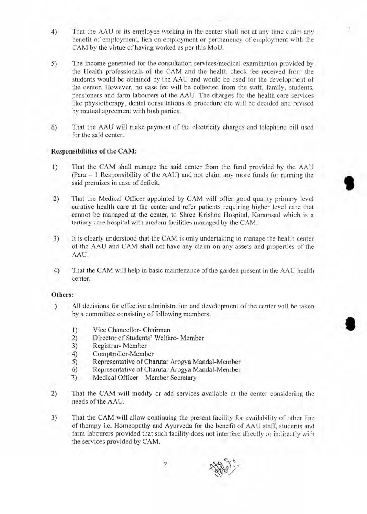- 4) That the AAU or its employee working in the center shall not at any time claim any benefit of employment, lien on employment or permanency of employment with the CAM by the virtue of having worked as per this MoU.
- 5) The income generated for the consultation services/medical examination provided by the Health professionals of the CAM and the health check fee received from the students would be obtained by the AAU and would be used for the development of the center. However, no case fee will be collected from the staff, family, students, pensioners and farm labourers of the AAU. The charges for the health care services like physiotherapy, dental consultations & procedure etc will be decided and revised by mutual agreement with both parties.
- 6) That the AAU will make payment of the electricity charges and telephone bill used for the said center.

#### **Responsibilities of the CAM:**

- 1) That the CAM shall manage the said center from the fund provided by the AAU (Para — 1 Responsibility of the AAU) and not claim any more funds for running the said premises in case of deficit.
- 2) That the Medical Officer appointed by CAM will offer good quality primary level curative health care at the center and refer patients requiring higher level care that cannot be managed at the center, to Shree Krishna Hospital, Karamsad which is a tertiary care hospital with modern facilities managed by the CAM.
- 3) It is clearly understood that the CAM is only undertaking to manage the health center of the AAU and CAM shall not have any claim on any assets and properties of the AAU.
- 4) That the CAM will help in basic maintenance of the garden present in the AAU health center.

#### **Others:**

- **1)** All decisions for effective administration and development of the center will be taken by a committee consisting of following members.
	- 1) Vice Chancellor- Chairman<br>2) Director of Students' Welfar
	- 2) Director of Students' Welfare- Member
	- 3) Registrar-Member<br>4) Comptroller-Memb
	- 4) Comptroller-Member<br>5) Representative of Cha
	- 5) Representative of Charutar Arogya Mandal-Member
	- 6) Representative of Charutar Arogya Mandal-Member
	- Medical Officer Member Secretary
- 2) That the CAM will modify or add services available at the center considering the needs of the AAU.
- 3) That the CAM will allow continuing the present facility for availability of other line of therapy i.e. Homeopathy and Ayurveda for the benefit of AAU staff, students and farm labourers provided that such facility does not interfere directly or indirectly with the services provided by CAM.